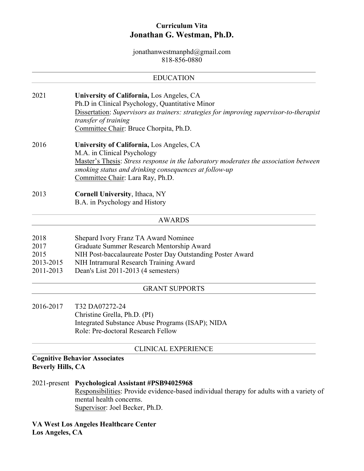# **Curriculum Vita Jonathan G. Westman, Ph.D.**

jonathanwestmanphd@gmail.com 818-856-0880

## EDUCATION

- 2021 **University of California,** Los Angeles, CA Ph.D in Clinical Psychology, Quantitative Minor Dissertation: *Supervisors as trainers: strategies for improving supervisor-to-therapist transfer of training* Committee Chair: Bruce Chorpita, Ph.D.
- 2016 **University of California,** Los Angeles, CA M.A. in Clinical Psychology Master's Thesis: *Stress response in the laboratory moderates the association between smoking status and drinking consequences at follow-up* Committee Chair: Lara Ray, Ph.D.
- 2013 **Cornell University**, Ithaca, NY B.A. in Psychology and History

#### AWARDS

- 2018 Shepard Ivory Franz TA Award Nominee
- 2017 Graduate Summer Research Mentorship Award
- 2015 NIH Post-baccalaureate Poster Day Outstanding Poster Award
- 2013-2015 NIH Intramural Research Training Award
- 2011-2013 Dean's List 2011-2013 (4 semesters)

#### GRANT SUPPORTS

2016-2017 T32 DA07272-24 Christine Grella, Ph.D. (PI) Integrated Substance Abuse Programs (ISAP); NIDA Role: Pre-doctoral Research Fellow

#### CLINICAL EXPERIENCE

## **Cognitive Behavior Associates Beverly Hills, CA**

- 2021-present **Psychological Assistant #PSB94025968**  Responsibilities: Provide evidence-based individual therapy for adults with a variety of mental health concerns. Supervisor: Joel Becker, Ph.D.
- **VA West Los Angeles Healthcare Center Los Angeles, CA**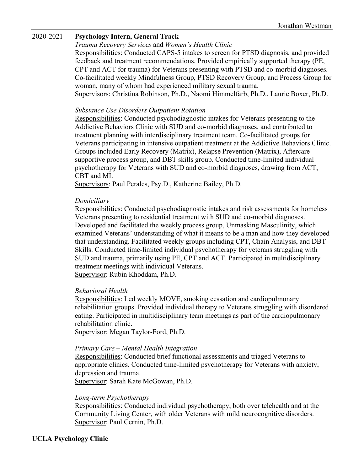## 2020-2021 **Psychology Intern, General Track**

*Trauma Recovery Services* and *Women's Health Clinic*

Responsibilities: Conducted CAPS-5 intakes to screen for PTSD diagnosis, and provided feedback and treatment recommendations. Provided empirically supported therapy (PE, CPT and ACT for trauma) for Veterans presenting with PTSD and co-morbid diagnoses. Co-facilitated weekly Mindfulness Group, PTSD Recovery Group, and Process Group for woman, many of whom had experienced military sexual trauma. Supervisors: Christina Robinson, Ph.D., Naomi Himmelfarb, Ph.D., Laurie Boxer, Ph.D.

#### *Substance Use Disorders Outpatient Rotation*

Responsibilities: Conducted psychodiagnostic intakes for Veterans presenting to the Addictive Behaviors Clinic with SUD and co-morbid diagnoses, and contributed to treatment planning with interdisciplinary treatment team. Co-facilitated groups for Veterans participating in intensive outpatient treatment at the Addictive Behaviors Clinic. Groups included Early Recovery (Matrix), Relapse Prevention (Matrix), Aftercare supportive process group, and DBT skills group. Conducted time-limited individual psychotherapy for Veterans with SUD and co-morbid diagnoses, drawing from ACT, CBT and MI.

Supervisors: Paul Perales, Psy.D., Katherine Bailey, Ph.D.

#### *Domiciliary*

Responsibilities: Conducted psychodiagnostic intakes and risk assessments for homeless Veterans presenting to residential treatment with SUD and co-morbid diagnoses. Developed and facilitated the weekly process group, Unmasking Masculinity, which examined Veterans' understanding of what it means to be a man and how they developed that understanding. Facilitated weekly groups including CPT, Chain Analysis, and DBT Skills. Conducted time-limited individual psychotherapy for veterans struggling with SUD and trauma, primarily using PE, CPT and ACT. Participated in multidisciplinary treatment meetings with individual Veterans. Supervisor: Rubin Khoddam, Ph.D.

## *Behavioral Health*

Responsibilities: Led weekly MOVE, smoking cessation and cardiopulmonary rehabilitation groups. Provided individual therapy to Veterans struggling with disordered eating. Participated in multidisciplinary team meetings as part of the cardiopulmonary rehabilitation clinic.

Supervisor: Megan Taylor-Ford, Ph.D.

#### *Primary Care – Mental Health Integration*

Responsibilities: Conducted brief functional assessments and triaged Veterans to appropriate clinics. Conducted time-limited psychotherapy for Veterans with anxiety, depression and trauma.

Supervisor: Sarah Kate McGowan, Ph.D.

#### *Long-term Psychotherapy*

Responsibilities: Conducted individual psychotherapy, both over telehealth and at the Community Living Center, with older Veterans with mild neurocognitive disorders. Supervisor: Paul Cernin, Ph.D.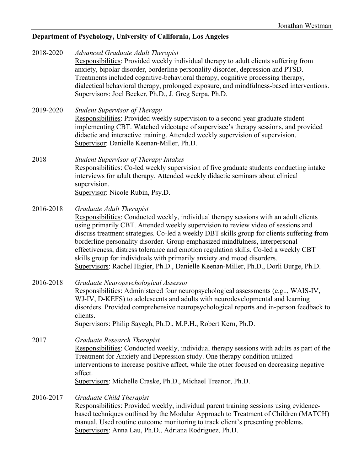# **Department of Psychology, University of California, Los Angeles**

| 2018-2020 | <b>Advanced Graduate Adult Therapist</b><br>Responsibilities: Provided weekly individual therapy to adult clients suffering from<br>anxiety, bipolar disorder, borderline personality disorder, depression and PTSD.<br>Treatments included cognitive-behavioral therapy, cognitive processing therapy,<br>dialectical behavioral therapy, prolonged exposure, and mindfulness-based interventions.<br>Supervisors: Joel Becker, Ph.D., J. Greg Serpa, Ph.D.                                                                                                                                                                                  |
|-----------|-----------------------------------------------------------------------------------------------------------------------------------------------------------------------------------------------------------------------------------------------------------------------------------------------------------------------------------------------------------------------------------------------------------------------------------------------------------------------------------------------------------------------------------------------------------------------------------------------------------------------------------------------|
| 2019-2020 | <b>Student Supervisor of Therapy</b><br>Responsibilities: Provided weekly supervision to a second-year graduate student<br>implementing CBT. Watched videotape of supervisee's therapy sessions, and provided<br>didactic and interactive training. Attended weekly supervision of supervision.<br>Supervisor: Danielle Keenan-Miller, Ph.D.                                                                                                                                                                                                                                                                                                  |
| 2018      | <b>Student Supervisor of Therapy Intakes</b><br>Responsibilities: Co-led weekly supervision of five graduate students conducting intake<br>interviews for adult therapy. Attended weekly didactic seminars about clinical<br>supervision.<br>Supervisor: Nicole Rubin, Psy.D.                                                                                                                                                                                                                                                                                                                                                                 |
| 2016-2018 | Graduate Adult Therapist<br>Responsibilities: Conducted weekly, individual therapy sessions with an adult clients<br>using primarily CBT. Attended weekly supervision to review video of sessions and<br>discuss treatment strategies. Co-led a weekly DBT skills group for clients suffering from<br>borderline personality disorder. Group emphasized mindfulness, interpersonal<br>effectiveness, distress tolerance and emotion regulation skills. Co-led a weekly CBT<br>skills group for individuals with primarily anxiety and mood disorders.<br>Supervisors: Rachel Higier, Ph.D., Danielle Keenan-Miller, Ph.D., Dorli Burge, Ph.D. |
| 2016-2018 | Graduate Neuropsychological Assessor<br>Responsibilities: Administered four neuropsychological assessments (e.g, WAIS-IV,<br>WJ-IV, D-KEFS) to adolescents and adults with neurodevelopmental and learning<br>disorders. Provided comprehensive neuropsychological reports and in-person feedback to<br>clients.<br>Supervisors: Philip Sayegh, Ph.D., M.P.H., Robert Kern, Ph.D.                                                                                                                                                                                                                                                             |
| 2017      | Graduate Research Therapist<br>Responsibilities: Conducted weekly, individual therapy sessions with adults as part of the<br>Treatment for Anxiety and Depression study. One therapy condition utilized<br>interventions to increase positive affect, while the other focused on decreasing negative<br>affect.<br>Supervisors: Michelle Craske, Ph.D., Michael Treanor, Ph.D.                                                                                                                                                                                                                                                                |
| 2016-2017 | Graduate Child Therapist<br>Responsibilities: Provided weekly, individual parent training sessions using evidence-<br>based techniques outlined by the Modular Approach to Treatment of Children (MATCH)<br>manual. Used routine outcome monitoring to track client's presenting problems.<br>Supervisors: Anna Lau, Ph.D., Adriana Rodriguez, Ph.D.                                                                                                                                                                                                                                                                                          |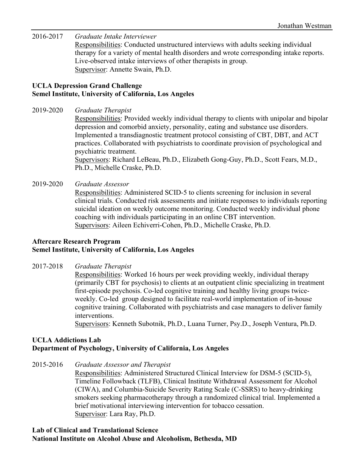2016-2017 *Graduate Intake Interviewer*  Responsibilities: Conducted unstructured interviews with adults seeking individual therapy for a variety of mental health disorders and wrote corresponding intake reports. Live-observed intake interviews of other therapists in group. Supervisor: Annette Swain, Ph.D.

# **UCLA Depression Grand Challenge Semel Institute, University of California, Los Angeles**

2019-2020 *Graduate Therapist*

Responsibilities: Provided weekly individual therapy to clients with unipolar and bipolar depression and comorbid anxiety, personality, eating and substance use disorders. Implemented a transdiagnostic treatment protocol consisting of CBT, DBT, and ACT practices. Collaborated with psychiatrists to coordinate provision of psychological and psychiatric treatment.

Supervisors: Richard LeBeau, Ph.D., Elizabeth Gong-Guy, Ph.D., Scott Fears, M.D., Ph.D., Michelle Craske, Ph.D.

2019-2020 *Graduate Assessor*

Responsibilities: Administered SCID-5 to clients screening for inclusion in several clinical trials. Conducted risk assessments and initiate responses to individuals reporting suicidal ideation on weekly outcome monitoring. Conducted weekly individual phone coaching with individuals participating in an online CBT intervention. Supervisors: Aileen Echiverri-Cohen, Ph.D., Michelle Craske, Ph.D.

# **Aftercare Research Program Semel Institute, University of California, Los Angeles**

2017-2018 *Graduate Therapist* 

Responsibilities: Worked 16 hours per week providing weekly, individual therapy (primarily CBT for psychosis) to clients at an outpatient clinic specializing in treatment first-episode psychosis. Co-led cognitive training and healthy living groups twiceweekly. Co-led group designed to facilitate real-world implementation of in-house cognitive training. Collaborated with psychiatrists and case managers to deliver family interventions.

Supervisors: Kenneth Subotnik, Ph.D., Luana Turner, Psy.D., Joseph Ventura, Ph.D.

# **UCLA Addictions Lab Department of Psychology, University of California, Los Angeles**

2015-2016 *Graduate Assessor and Therapist* 

Responsibilities: Administered Structured Clinical Interview for DSM-5 (SCID-5), Timeline Followback (TLFB), Clinical Institute Withdrawal Assessment for Alcohol (CIWA), and Columbia-Suicide Severity Rating Scale (C-SSRS) to heavy-drinking smokers seeking pharmacotherapy through a randomized clinical trial. Implemented a brief motivational interviewing intervention for tobacco cessation. Supervisor: Lara Ray, Ph.D.

## **Lab of Clinical and Translational Science National Institute on Alcohol Abuse and Alcoholism, Bethesda, MD**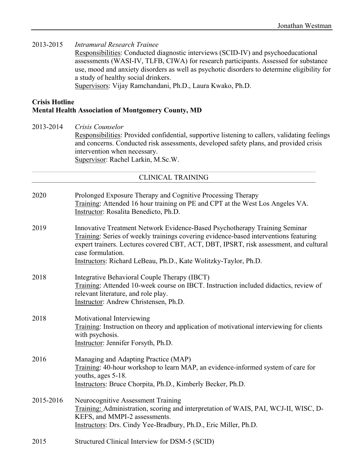2013-2015 *Intramural Research Trainee*

Responsibilities: Conducted diagnostic interviews (SCID-IV) and psychoeducational assessments (WASI-IV, TLFB, CIWA) for research participants. Assessed for substance use, mood and anxiety disorders as well as psychotic disorders to determine eligibility for a study of healthy social drinkers.

Supervisors: Vijay Ramchandani, Ph.D., Laura Kwako, Ph.D.

# **Crisis Hotline Mental Health Association of Montgomery County, MD**

2013-2014 *Crisis Counselor*

Responsibilities: Provided confidential, supportive listening to callers, validating feelings and concerns. Conducted risk assessments, developed safety plans, and provided crisis intervention when necessary. Supervisor: Rachel Larkin, M.Sc.W.

## CLINICAL TRAINING

- 2020 Prolonged Exposure Therapy and Cognitive Processing Therapy Training: Attended 16 hour training on PE and CPT at the West Los Angeles VA. Instructor: Rosalita Benedicto, Ph.D.
- 2019 Innovative Treatment Network Evidence-Based Psychotherapy Training Seminar Training: Series of weekly trainings covering evidence-based interventions featuring expert trainers. Lectures covered CBT, ACT, DBT, IPSRT, risk assessment, and cultural case formulation. Instructors: Richard LeBeau, Ph.D., Kate Wolitzky-Taylor, Ph.D.

## 2018 Integrative Behavioral Couple Therapy (IBCT) Training: Attended 10-week course on IBCT. Instruction included didactics, review of relevant literature, and role play. Instructor: Andrew Christensen, Ph.D.

- 2018 Motivational Interviewing Training: Instruction on theory and application of motivational interviewing for clients with psychosis. Instructor: Jennifer Forsyth, Ph.D.
- 2016 Managing and Adapting Practice (MAP) Training: 40-hour workshop to learn MAP, an evidence-informed system of care for youths, ages 5-18. Instructors: Bruce Chorpita, Ph.D., Kimberly Becker, Ph.D.
- 2015-2016 Neurocognitive Assessment Training Training: Administration, scoring and interpretation of WAIS, PAI, WCJ-II, WISC, D-KEFS, and MMPI-2 assessments. Instructors: Drs. Cindy Yee-Bradbury, Ph.D., Eric Miller, Ph.D.
- 2015 Structured Clinical Interview for DSM-5 (SCID)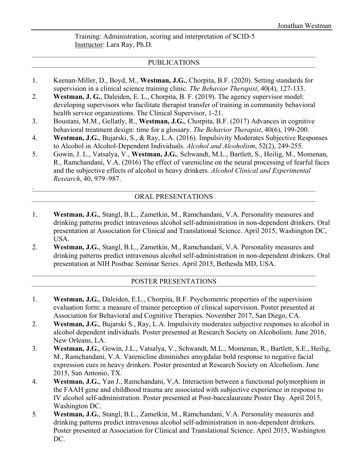Training: Administration, scoring and interpretation of SCID-5 Instructor: Lara Ray, Ph.D.

## PUBLICATIONS

- 1. Keenan-Miller, D., Boyd, M., **Westman, J.G.**, Chorpita, B.F. (2020). Setting standards for supervision in a clinical science training clinic. *The Behavior Therapist*, 40(4), 127-133.
- 2. **Westman, J. G.**, Daleiden, E. L., Chorpita, B. F. (2019). The agency supervisor model: developing supervisors who facilitate therapist transfer of training in community behavioral health service organizations. The Clinical Supervisor, 1-21.
- 3. Boustani, M.M., Gellatly, R., **Westman, J.G.**, Chorpita, B.F. (2017) Advances in cognitive behavioral treatment design: time for a glossary. *The Behavior Therapist*, 40(6), 199-200.
- 4. **Westman, J.G.**, Bujarski, S., & Ray, L.A. (2016). Impulsivity Moderates Subjective Responses to Alcohol in Alcohol-Dependent Individuals. *Alcohol and Alcoholism*, 52(2), 249-255.
- 5. Gowin, J. L., Vatsalya, V., **Westman, J.G.**, Schwandt, M.L., Bartlett, S., Heilig, M., Momenan, R., Ramchandani, V.A. (2016) The effect of varenicline on the neural processing of fearful faces and the subjective effects of alcohol in heavy drinkers. *Alcohol Clinical and Experimental Research*, 40, 979–987.

# ORAL PRESENTATIONS

.

- 1. **Westman, J.G.**, Stangl, B.L., Zametkin, M., Ramchandani, V.A. Personality measures and drinking patterns predict intravenous alcohol self-administration in non-dependent drinkers. Oral presentation at Association for Clinical and Translational Science. April 2015, Washington DC, USA.
- 2. **Westman, J.G.**, Stangl, B.L., Zametkin, M., Ramchandani, V.A. Personality measures and drinking patterns predict intravenous alcohol self-administration in non-dependent drinkers. Oral presentation at NIH Postbac Seminar Series. April 2015, Bethesda MD, USA.

# POSTER PRESENTATIONS

- 1. **Westman, J.G.**, Daleiden, E.L., Chorpita, B.F. Psychometric properties of the supervision evaluation form: a measure of trainee perception of clinical supervision. Poster presented at Association for Behavioral and Cognitive Therapies. November 2017, San Diego, CA.
- 2. **Westman, J.G.**, Bujarski S., Ray, L.A. Impulsivity moderates subjective responses to alcohol in alcohol dependent individuals. Poster presented at Research Society on Alcoholism. June 2016, New Orleans, LA.
- 3. **Westman, J.G.**, Gowin, J.L., Vatsalya, V., Schwandt, M.L., Momenan, R., Bartlett, S.E., Heilig, M., Ramchandani, V.A. Varenicline diminishes amygdalar bold response to negative facial expression cues in heavy drinkers. Poster presented at Research Society on Alcoholism. June 2015, San Antonio, TX.
- 4. **Westman, J.G.**, Yan J., Ramchandani, V.A. Interaction between a functional polymorphism in the FAAH gene and childhood trauma are associated with subjective experience in response to IV alcohol self-administration. Poster presented at Post-baccalaureate Poster Day. April 2015, Washington DC.
- 5. **Westman, J.G.**, Stangl, B.L., Zametkin, M., Ramchandani, V.A. Personality measures and drinking patterns predict intravenous alcohol self-administration in non-dependent drinkers. Poster presented at Association for Clinical and Translational Science. April 2015, Washington DC.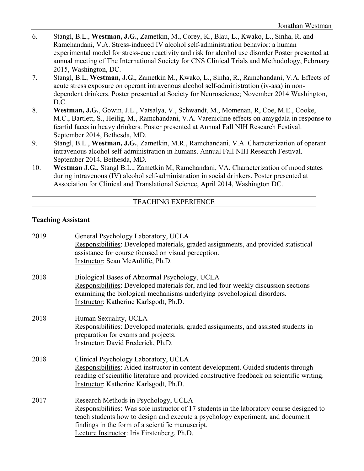- 6. Stangl, B.L., **Westman, J.G.**, Zametkin, M., Corey, K., Blau, L., Kwako, L., Sinha, R. and Ramchandani, V.A. Stress-induced IV alcohol self-administration behavior: a human experimental model for stress-cue reactivity and risk for alcohol use disorder Poster presented at annual meeting of The International Society for CNS Clinical Trials and Methodology, February 2015, Washington, DC.
- 7. Stangl, B.L, **Westman, J.G.**, Zametkin M., Kwako, L., Sinha, R., Ramchandani, V.A. Effects of acute stress exposure on operant intravenous alcohol self-administration (iv-asa) in nondependent drinkers. Poster presented at Society for Neuroscience; November 2014 Washington, D.C.
- 8. **Westman, J.G.**, Gowin, J.L., Vatsalya, V., Schwandt, M., Momenan, R, Coe, M.E., Cooke, M.C., Bartlett, S., Heilig, M., Ramchandani, V.A. Varenicline effects on amygdala in response to fearful faces in heavy drinkers. Poster presented at Annual Fall NIH Research Festival. September 2014, Bethesda, MD.
- 9. Stangl, B.L., **Westman, J.G.**, Zametkin, M.R., Ramchandani, V.A. Characterization of operant intravenous alcohol self-administration in humans. Annual Fall NIH Research Festival. September 2014, Bethesda, MD.
- 10. **Westman J.G.**, Stangl B.L., Zametkin M, Ramchandani, VA. Characterization of mood states during intravenous (IV) alcohol self-administration in social drinkers. Poster presented at Association for Clinical and Translational Science, April 2014, Washington DC.

# TEACHING EXPERIENCE

## **Teaching Assistant**

| 2019 | General Psychology Laboratory, UCLA<br>Responsibilities: Developed materials, graded assignments, and provided statistical<br>assistance for course focused on visual perception.<br>Instructor: Sean McAuliffe, Ph.D.                                                                                                 |
|------|------------------------------------------------------------------------------------------------------------------------------------------------------------------------------------------------------------------------------------------------------------------------------------------------------------------------|
| 2018 | Biological Bases of Abnormal Psychology, UCLA<br>Responsibilities: Developed materials for, and led four weekly discussion sections<br>examining the biological mechanisms underlying psychological disorders.<br>Instructor: Katherine Karlsgodt, Ph.D.                                                               |
| 2018 | Human Sexuality, UCLA<br>Responsibilities: Developed materials, graded assignments, and assisted students in<br>preparation for exams and projects.<br>Instructor: David Frederick, Ph.D.                                                                                                                              |
| 2018 | Clinical Psychology Laboratory, UCLA<br>Responsibilities: Aided instructor in content development. Guided students through<br>reading of scientific literature and provided constructive feedback on scientific writing.<br>Instructor: Katherine Karlsgodt, Ph.D.                                                     |
| 2017 | Research Methods in Psychology, UCLA<br>Responsibilities: Was sole instructor of 17 students in the laboratory course designed to<br>teach students how to design and execute a psychology experiment, and document<br>findings in the form of a scientific manuscript.<br>Lecture Instructor: Iris Firstenberg, Ph.D. |